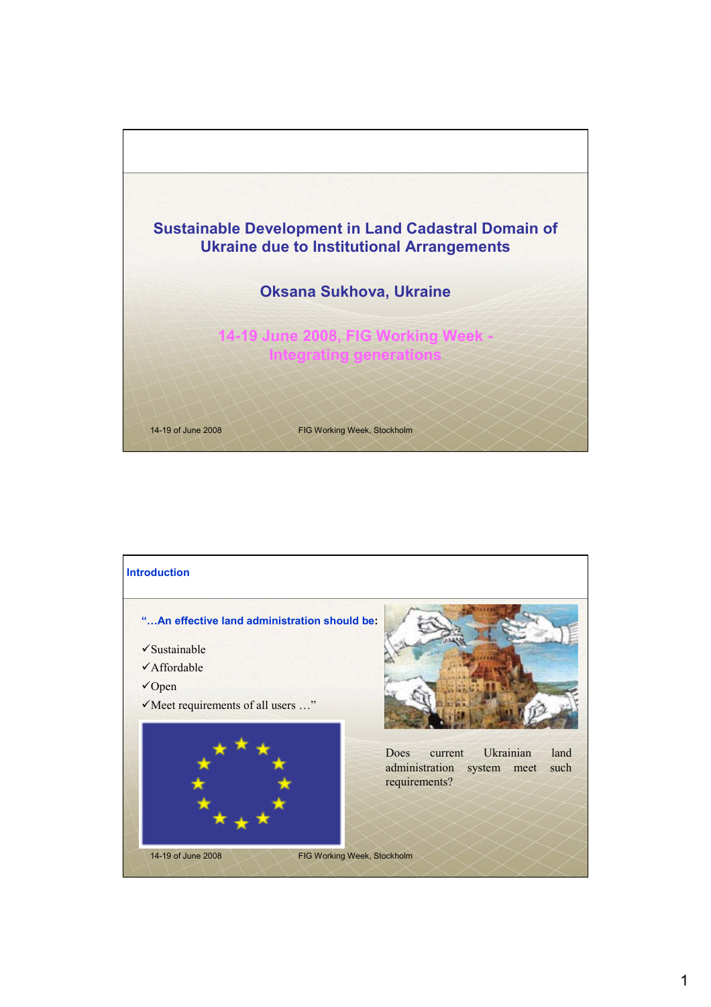

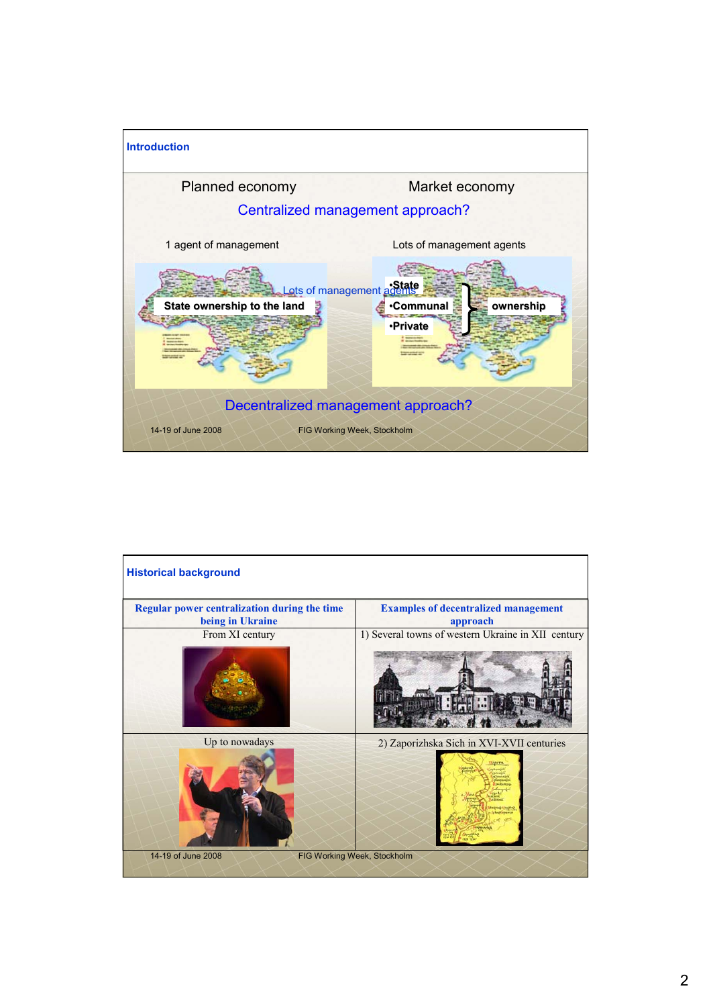

| <b>Historical background</b>                                     |                                                         |
|------------------------------------------------------------------|---------------------------------------------------------|
| Regular power centralization during the time<br>being in Ukraine | <b>Examples of decentralized management</b><br>approach |
| From XI century                                                  | 1) Several towns of western Ukraine in XII century      |
| Up to nowadays                                                   | 2) Zaporizhska Sich in XVI-XVII centuries               |
| 14-19 of June 2008<br>FIG Working Week, Stockholm                |                                                         |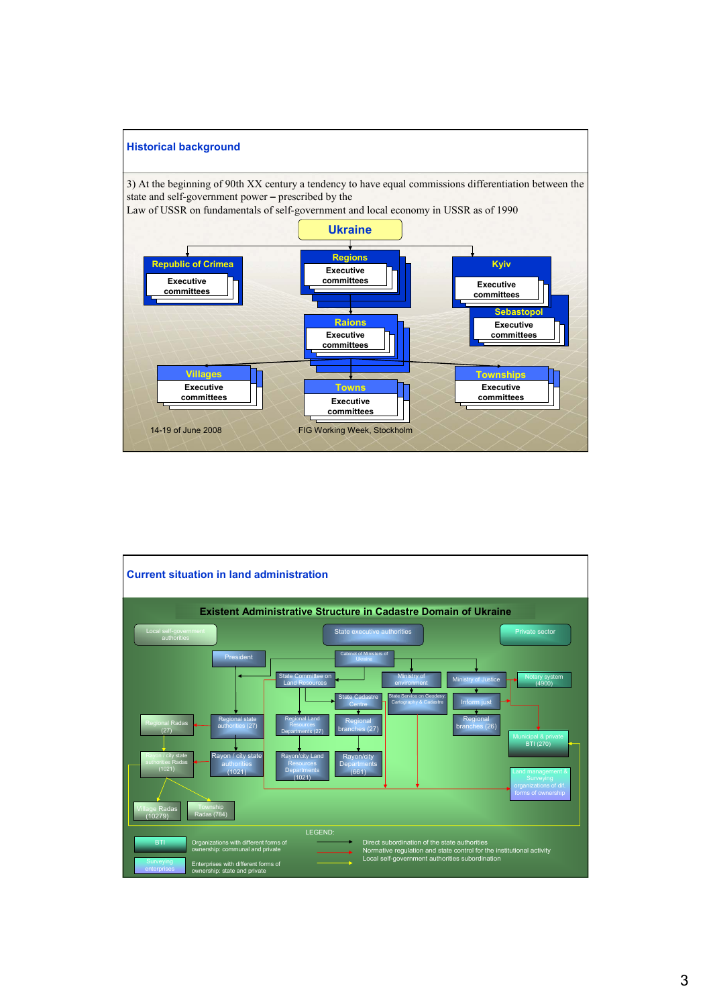

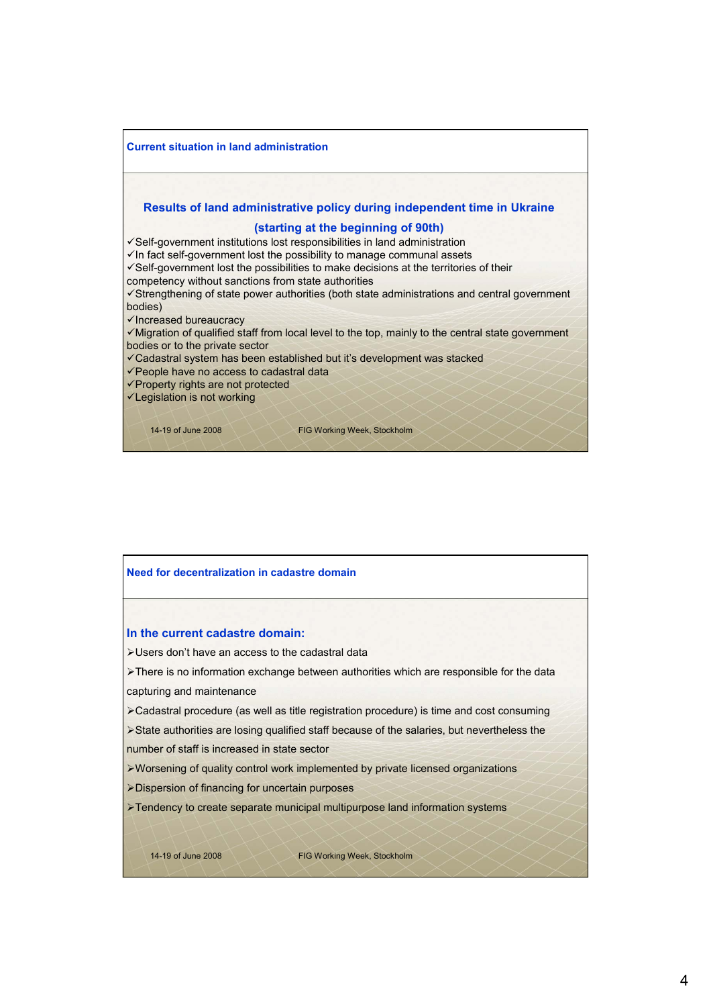

## 14-19 of June 2008 FIG Working Week, Stockholm **Need for decentralization in cadastre domain In the current cadastre domain:** ¾Users don't have an access to the cadastral data ¾There is no information exchange between authorities which are responsible for the data capturing and maintenance ¾Cadastral procedure (as well as title registration procedure) is time and cost consuming ¾State authorities are losing qualified staff because of the salaries, but nevertheless the number of staff is increased in state sector ¾Worsening of quality control work implemented by private licensed organizations ¾Dispersion of financing for uncertain purposes ¾Tendency to create separate municipal multipurpose land information systems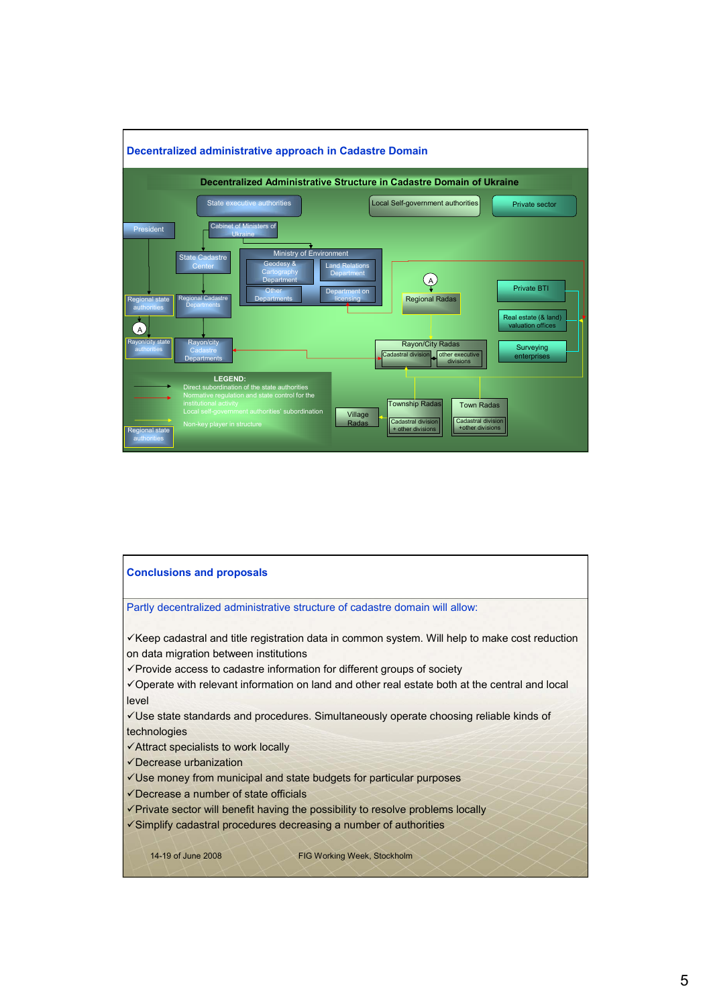

## 14-19 of June 2008 FIG Working Week, Stockholm **Conclusions and proposals** Partly decentralized administrative structure of cadastre domain will allow:  $\checkmark$  Keep cadastral and title registration data in common system. Will help to make cost reduction on data migration between institutions  $\checkmark$  Provide access to cadastre information for different groups of society  $\checkmark$  Operate with relevant information on land and other real estate both at the central and local level 9Use state standards and procedures. Simultaneously operate choosing reliable kinds of technologies  $\checkmark$  Attract specialists to work locally  $\checkmark$  Decrease urbanization  $\checkmark$ Use money from municipal and state budgets for particular purposes  $\checkmark$  Decrease a number of state officials  $\checkmark$  Private sector will benefit having the possibility to resolve problems locally 9Simplify cadastral procedures decreasing a number of authorities